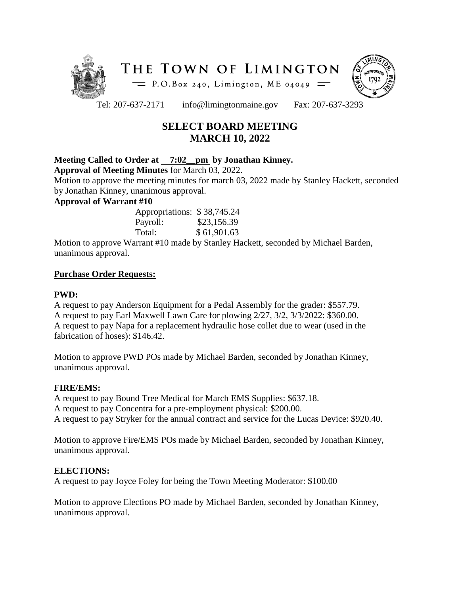



Tel: 207-637-2171 info@limingtonmaine.gov Fax: 207-637-3293

# **SELECT BOARD MEETING MARCH 10, 2022**

# **Meeting Called to Order at 7:02\_\_pm by Jonathan Kinney.**

**Approval of Meeting Minutes** for March 03, 2022.

Motion to approve the meeting minutes for march 03, 2022 made by Stanley Hackett, seconded by Jonathan Kinney, unanimous approval.

### **Approval of Warrant #10**

| Appropriations: \$38,745.24 |
|-----------------------------|
| \$23,156.39                 |
| \$61,901.63                 |
|                             |

Motion to approve Warrant #10 made by Stanley Hackett, seconded by Michael Barden, unanimous approval.

### **Purchase Order Requests:**

### **PWD:**

A request to pay Anderson Equipment for a Pedal Assembly for the grader: \$557.79. A request to pay Earl Maxwell Lawn Care for plowing 2/27, 3/2, 3/3/2022: \$360.00. A request to pay Napa for a replacement hydraulic hose collet due to wear (used in the fabrication of hoses): \$146.42.

Motion to approve PWD POs made by Michael Barden, seconded by Jonathan Kinney, unanimous approval.

### **FIRE/EMS:**

A request to pay Bound Tree Medical for March EMS Supplies: \$637.18. A request to pay Concentra for a pre-employment physical: \$200.00. A request to pay Stryker for the annual contract and service for the Lucas Device: \$920.40.

Motion to approve Fire/EMS POs made by Michael Barden, seconded by Jonathan Kinney, unanimous approval.

### **ELECTIONS:**

A request to pay Joyce Foley for being the Town Meeting Moderator: \$100.00

Motion to approve Elections PO made by Michael Barden, seconded by Jonathan Kinney, unanimous approval.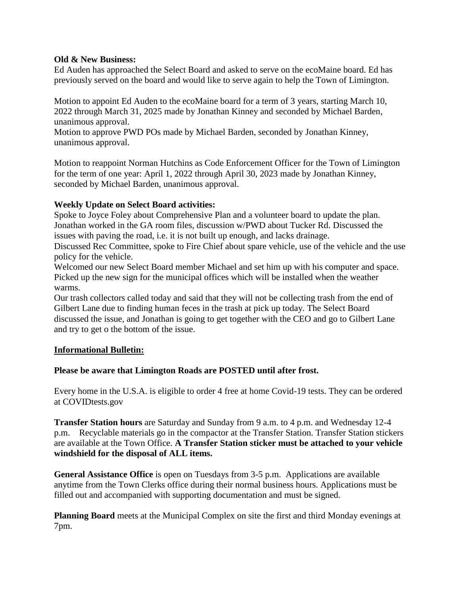#### **Old & New Business:**

Ed Auden has approached the Select Board and asked to serve on the ecoMaine board. Ed has previously served on the board and would like to serve again to help the Town of Limington.

Motion to appoint Ed Auden to the ecoMaine board for a term of 3 years, starting March 10, 2022 through March 31, 2025 made by Jonathan Kinney and seconded by Michael Barden, unanimous approval.

Motion to approve PWD POs made by Michael Barden, seconded by Jonathan Kinney, unanimous approval.

Motion to reappoint Norman Hutchins as Code Enforcement Officer for the Town of Limington for the term of one year: April 1, 2022 through April 30, 2023 made by Jonathan Kinney, seconded by Michael Barden, unanimous approval.

# **Weekly Update on Select Board activities:**

Spoke to Joyce Foley about Comprehensive Plan and a volunteer board to update the plan. Jonathan worked in the GA room files, discussion w/PWD about Tucker Rd. Discussed the issues with paving the road, i.e. it is not built up enough, and lacks drainage.

Discussed Rec Committee, spoke to Fire Chief about spare vehicle, use of the vehicle and the use policy for the vehicle.

Welcomed our new Select Board member Michael and set him up with his computer and space. Picked up the new sign for the municipal offices which will be installed when the weather warms.

Our trash collectors called today and said that they will not be collecting trash from the end of Gilbert Lane due to finding human feces in the trash at pick up today. The Select Board discussed the issue, and Jonathan is going to get together with the CEO and go to Gilbert Lane and try to get o the bottom of the issue.

### **Informational Bulletin:**

### **Please be aware that Limington Roads are POSTED until after frost.**

Every home in the U.S.A. is eligible to order 4 free at home Covid-19 tests. They can be ordered at COVIDtests.gov

**Transfer Station hours** are Saturday and Sunday from 9 a.m. to 4 p.m. and Wednesday 12-4 p.m. Recyclable materials go in the compactor at the Transfer Station. Transfer Station stickers are available at the Town Office. **A Transfer Station sticker must be attached to your vehicle windshield for the disposal of ALL items.**

**General Assistance Office** is open on Tuesdays from 3-5 p.m. Applications are available anytime from the Town Clerks office during their normal business hours. Applications must be filled out and accompanied with supporting documentation and must be signed.

**Planning Board** meets at the Municipal Complex on site the first and third Monday evenings at 7pm.